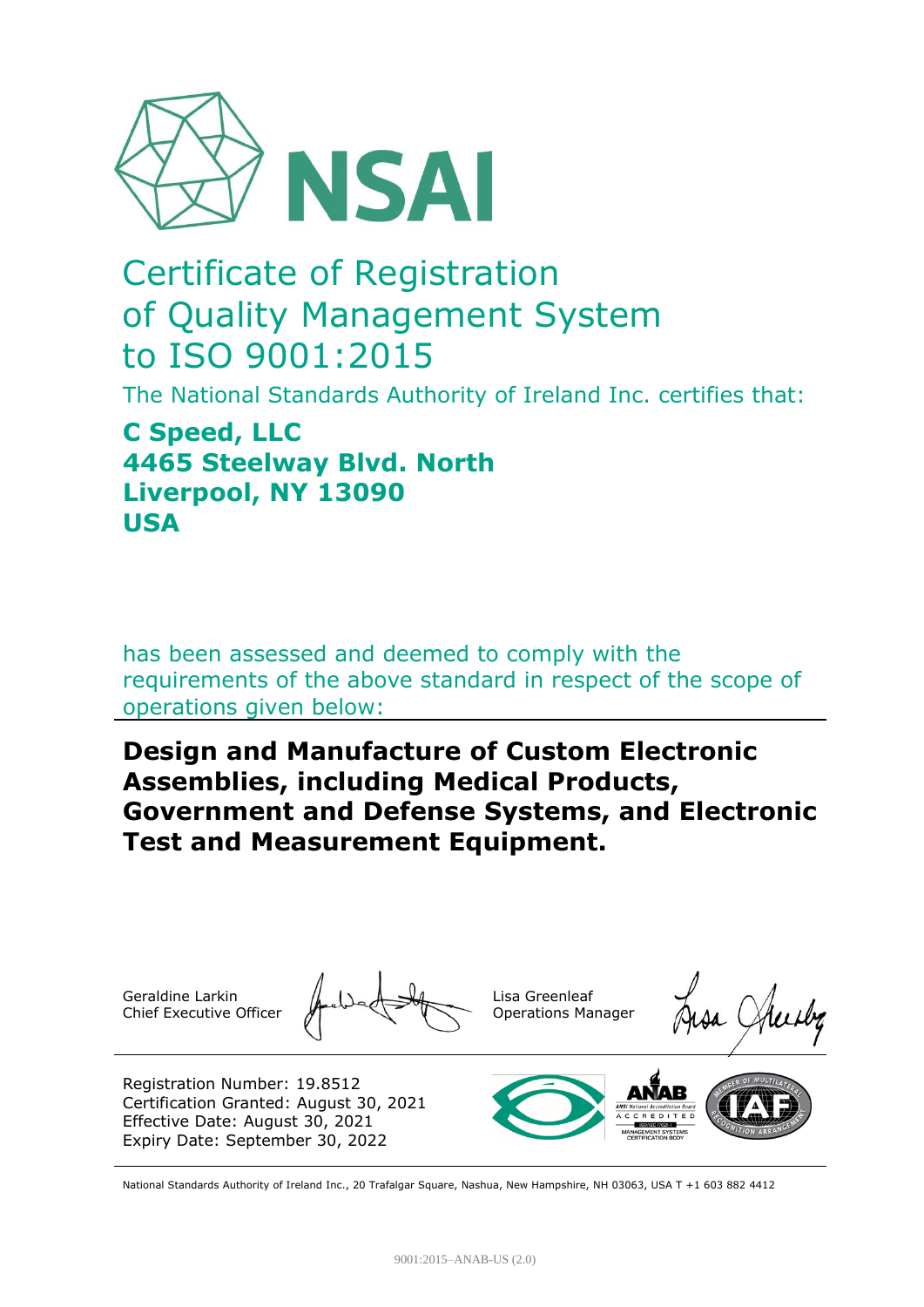

## Certificate of Registration of Quality Management System to ISO 9001:2015

The National Standards Authority of Ireland Inc. certifies that:

## **C Speed, LLC 4465 Steelway Blvd. North Liverpool, NY 13090 USA**

has been assessed and deemed to comply with the requirements of the above standard in respect of the scope of operations given below:

## **Design and Manufacture of Custom Electronic Assemblies, including Medical Products, Government and Defense Systems, and Electronic Test and Measurement Equipment.**

Geraldine Larkin Chief Executive Officer

Lisa Greenleaf Operations Manager

Registration Number: 19.8512 Certification Granted: August 30, 2021 Effective Date: August 30, 2021 Expiry Date: September 30, 2022



National Standards Authority of Ireland Inc., 20 Trafalgar Square, Nashua, New Hampshire, NH 03063, USA T +1 603 882 4412